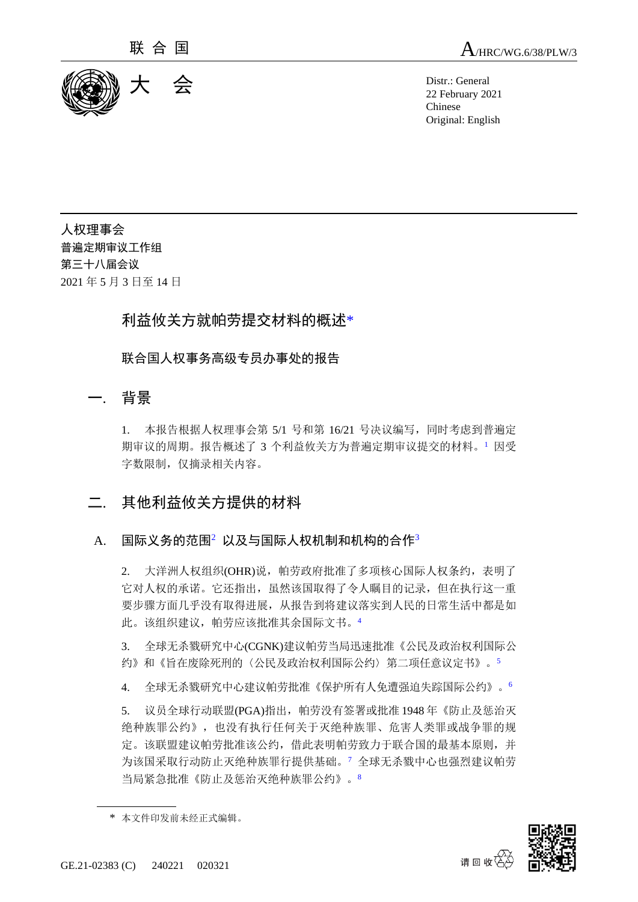

联 合 国  $A$ /HRC/WG.6/38/PLW/3

22 February 2021 Chinese Original: English

人权理事会 普遍定期审议工作组 第三十八届会议 2021 年 5 月 3 日至 14 日

# 利益攸关方就帕劳提交材料的概述\*

联合国人权事务高级专员办事处的报告

## 一. 背景

1. 本报告根据人权理事会第 5/1 号和第 16/21 号决议编写,同时考虑到普遍定 期审议的周期。报告概述了 3 个利益攸关方为普遍定期审议提交的材料。<sup>1</sup> 因受 字数限制,仅摘录相关内容。

# 二. 其他利益攸关方提供的材料

### A. 国际义务的范围 $^2$  以及与国际人权机制和机构的合作 $^3$

2. 大洋洲人权组织(OHR)说, 帕劳政府批准了多项核心国际人权条约, 表明了 它对人权的承诺。它还指出,虽然该国取得了令人瞩目的记录,但在执行这一重 要步骤方面几乎没有取得进展,从报告到将建议落实到人民的日常生活中都是如 此。该组织建议,帕劳应该批准其余国际文书。<sup>4</sup>

3. 全球无杀戮研究中心(CGNK)建议帕劳当局迅速批准《公民及政治权利国际公 约》和《旨在废除死刑的〈公民及政治权利国际公约〉第二项任意议定书》。<sup>5</sup>

4. 全球无杀戮研究中心建议帕劳批准《保护所有人免遭强迫失踪国际公约》。<sup>6</sup>

5. 议员全球行动联盟(PGA)指出, 帕劳没有签署或批准 1948年《防止及惩治灭 绝种族罪公约》,也没有执行任何关于灭绝种族罪、危害人类罪或战争罪的规 定。该联盟建议帕劳批准该公约,借此表明帕劳致力于联合国的最基本原则,并 为该国采取行动防止灭绝种族罪行提供基础。<sup>7</sup> 全球无杀戮中心也强烈建议帕劳 当局紧急批准《防止及惩治灭绝种族罪公约》。<sup>8</sup>



<sup>\*</sup> 本文件印发前未经正式编辑。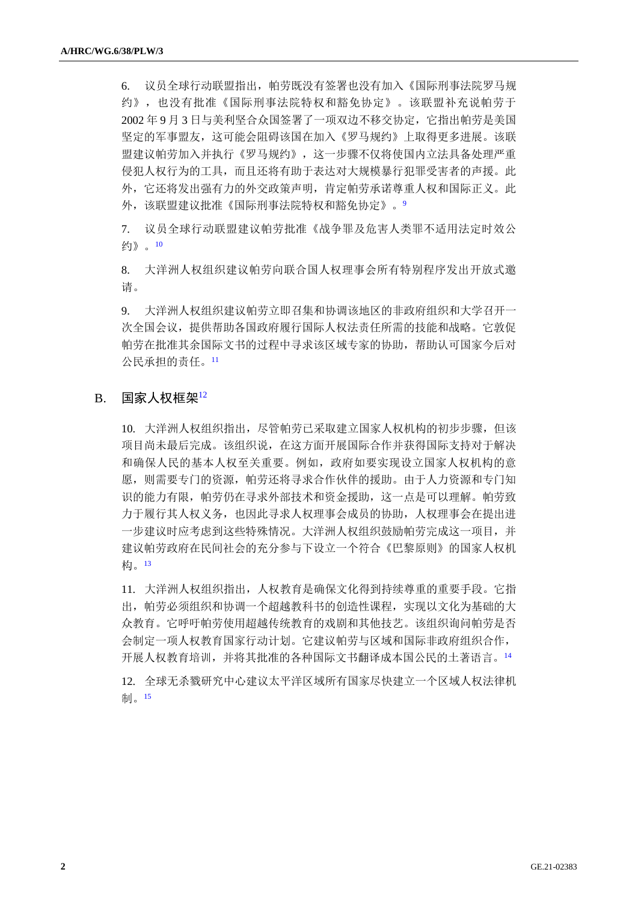6. 议员全球行动联盟指出,帕劳既没有签署也没有加入《国际刑事法院罗马规 约》,也没有批准《国际刑事法院特权和豁免协定》。该联盟补充说帕劳于 2002 年 9 月 3 日与美利坚合众国签署了一项双边不移交协定,它指出帕劳是美国 坚定的军事盟友,这可能会阻碍该国在加入《罗马规约》上取得更多进展。该联 盟建议帕劳加入并执行《罗马规约》,这一步骤不仅将使国内立法具备处理严重 侵犯人权行为的工具,而且还将有助于表达对大规模暴行犯罪受害者的声援。此 外,它还将发出强有力的外交政策声明,肯定帕劳承诺尊重人权和国际正义。此 外,该联盟建议批准《国际刑事法院特权和豁免协定》。9

7. 议员全球行动联盟建议帕劳批准《战争罪及危害人类罪不适用法定时效公 约》。<sup>10</sup>

8. 大洋洲人权组织建议帕劳向联合国人权理事会所有特别程序发出开放式邀 请。

9. 大洋洲人权组织建议帕劳立即召集和协调该地区的非政府组织和大学召开一 次全国会议,提供帮助各国政府履行国际人权法责任所需的技能和战略。它敦促 帕劳在批准其余国际文书的过程中寻求该区域专家的协助,帮助认可国家今后对 公民承担的责任。<sup>11</sup>

#### $B.$  国家人权框架 $12$

10. 大洋洲人权组织指出,尽管帕劳已采取建立国家人权机构的初步步骤,但该 项目尚未最后完成。该组织说,在这方面开展国际合作并获得国际支持对于解决 和确保人民的基本人权至关重要。例如,政府如要实现设立国家人权机构的意 愿,则需要专门的资源,帕劳还将寻求合作伙伴的援助。由于人力资源和专门知 识的能力有限,帕劳仍在寻求外部技术和资金援助,这一点是可以理解。帕劳致 力于履行其人权义务,也因此寻求人权理事会成员的协助,人权理事会在提出进 一步建议时应考虑到这些特殊情况。大洋洲人权组织鼓励帕劳完成这一项目,并 建议帕劳政府在民间社会的充分参与下设立一个符合《巴黎原则》的国家人权机 构。<sup>13</sup>

11. 大洋洲人权组织指出,人权教育是确保文化得到持续尊重的重要手段。它指 出,帕劳必须组织和协调一个超越教科书的创造性课程,实现以文化为基础的大 众教育。它呼吁帕劳使用超越传统教育的戏剧和其他技艺。该组织询问帕劳是否 会制定一项人权教育国家行动计划。它建议帕劳与区域和国际非政府组织合作, 开展人权教育培训,并将其批准的各种国际文书翻译成本国公民的土著语言。<sup>14</sup>

12. 全球无杀戮研究中心建议太平洋区域所有国家尽快建立一个区域人权法律机 制。15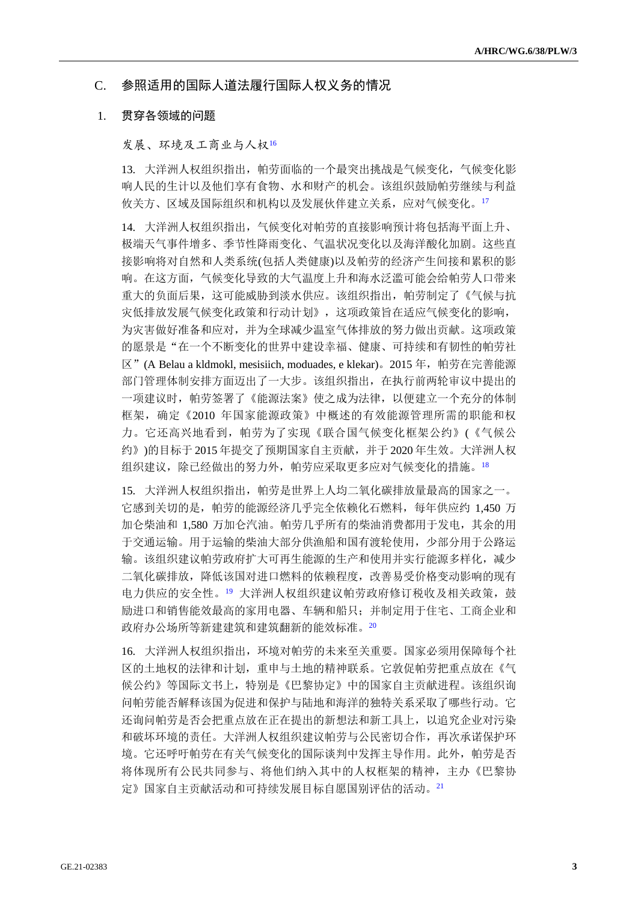### C. 参照适用的国际人道法履行国际人权义务的情况

#### 1. 贯穿各领域的问题

#### 发展、环境及工商业与人权<sup>16</sup>

13. 大洋洲人权组织指出,帕劳面临的一个最突出挑战是气候变化,气候变化影 响人民的生计以及他们享有食物、水和财产的机会。该组织鼓励帕劳继续与利益 攸关方、区域及国际组织和机构以及发展伙伴建立关系,应对气候变化。<sup>17</sup>

14. 大洋洲人权组织指出,气候变化对帕劳的直接影响预计将包括海平面上升、 极端天气事件增多、季节性降雨变化、气温状况变化以及海洋酸化加剧。这些直 接影响将对自然和人类系统(包括人类健康)以及帕劳的经济产生间接和累积的影 响。在这方面,气候变化导致的大气温度上升和海水泛滥可能会给帕劳人口带来 重大的负面后果,这可能威胁到淡水供应。该组织指出,帕劳制定了《气候与抗 灾低排放发展气候变化政策和行动计划》,这项政策旨在适应气候变化的影响, 为灾害做好准备和应对,并为全球减少温室气体排放的努力做出贡献。这项政策 的愿景是"在一个不断变化的世界中建设幸福、健康、可持续和有韧性的帕劳社  $\overline{X}$ " (A Belau a kldmokl, mesisiich, moduades, e klekar)。2015 年, 帕劳在完善能源 部门管理体制安排方面迈出了一大步。该组织指出,在执行前两轮审议中提出的 一项建议时,帕劳签署了《能源法案》使之成为法律,以便建立一个充分的体制 框架,确定《2010 年国家能源政策》中概述的有效能源管理所需的职能和权 力。它还高兴地看到,帕劳为了实现《联合国气候变化框架公约》(《气候公 约》)的目标于 2015 年提交了预期国家自主贡献,并于 2020 年生效。大洋洲人权 组织建议,除已经做出的努力外,帕劳应采取更多应对气候变化的措施。18

15. 大洋洲人权组织指出,帕劳是世界上人均二氧化碳排放量最高的国家之一。 它感到关切的是,帕劳的能源经济几乎完全依赖化石燃料,每年供应约 1,450 万 加仑柴油和 1.580 万加仑汽油。帕劳几乎所有的柴油消费都用于发电,其余的用 于交通运输。用于运输的柴油大部分供渔船和国有渡轮使用,少部分用于公路运 输。该组织建议帕劳政府扩大可再生能源的生产和使用并实行能源多样化,减少 二氧化碳排放,降低该国对进口燃料的依赖程度,改善易受价格变动影响的现有 电力供应的安全性。19 大洋洲人权组织建议帕劳政府修订税收及相关政策, 鼓 励进口和销售能效最高的家用电器、车辆和船只;并制定用于住宅、工商企业和 政府办公场所等新建建筑和建筑翻新的能效标准。<sup>20</sup>

16. 大洋洲人权组织指出,环境对帕劳的未来至关重要。国家必须用保障每个社 区的土地权的法律和计划,重申与土地的精神联系。它敦促帕劳把重点放在《气 候公约》等国际文书上,特别是《巴黎协定》中的国家自主贡献进程。该组织询 问帕劳能否解释该国为促进和保护与陆地和海洋的独特关系采取了哪些行动。它 还询问帕劳是否会把重点放在正在提出的新想法和新工具上,以追究企业对污染 和破坏环境的责任。大洋洲人权组织建议帕劳与公民密切合作,再次承诺保护环 境。它还呼吁帕劳在有关气候变化的国际谈判中发挥主导作用。此外,帕劳是否 将体现所有公民共同参与、将他们纳入其中的人权框架的精神,主办《巴黎协 定》国家自主贡献活动和可持续发展目标自愿国别评估的活动。21